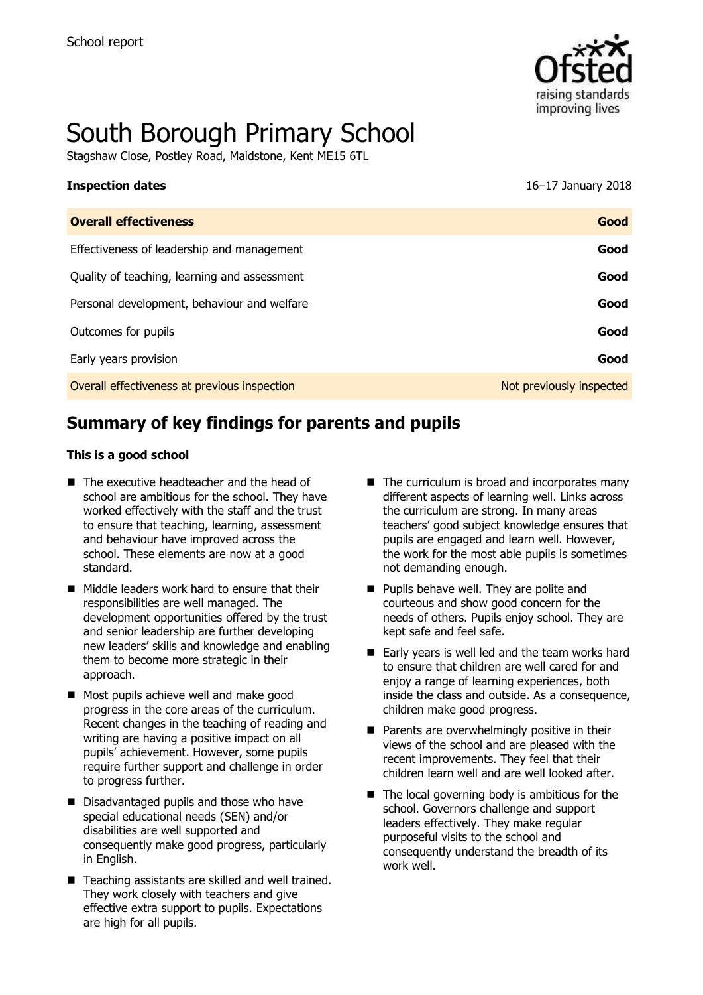

# South Borough Primary School

Stagshaw Close, Postley Road, Maidstone, Kent ME15 6TL

| <b>Inspection dates</b>                    | 16–17 January 2018 |
|--------------------------------------------|--------------------|
| <b>Overall effectiveness</b>               | Good               |
| Effectiveness of leadership and management | Good               |

| Enceaveriess or readership and management    |                          |
|----------------------------------------------|--------------------------|
| Quality of teaching, learning and assessment | Good                     |
| Personal development, behaviour and welfare  | Good                     |
| Outcomes for pupils                          | Good                     |
| Early years provision                        | Good                     |
| Overall effectiveness at previous inspection | Not previously inspected |

# **Summary of key findings for parents and pupils**

#### **This is a good school**

- The executive headteacher and the head of school are ambitious for the school. They have worked effectively with the staff and the trust to ensure that teaching, learning, assessment and behaviour have improved across the school. These elements are now at a good standard.
- Middle leaders work hard to ensure that their responsibilities are well managed. The development opportunities offered by the trust and senior leadership are further developing new leaders' skills and knowledge and enabling them to become more strategic in their approach.
- Most pupils achieve well and make good progress in the core areas of the curriculum. Recent changes in the teaching of reading and writing are having a positive impact on all pupils' achievement. However, some pupils require further support and challenge in order to progress further.
- Disadvantaged pupils and those who have special educational needs (SEN) and/or disabilities are well supported and consequently make good progress, particularly in English.
- Teaching assistants are skilled and well trained. They work closely with teachers and give effective extra support to pupils. Expectations are high for all pupils.
- $\blacksquare$  The curriculum is broad and incorporates many different aspects of learning well. Links across the curriculum are strong. In many areas teachers' good subject knowledge ensures that pupils are engaged and learn well. However, the work for the most able pupils is sometimes not demanding enough.
- **Pupils behave well. They are polite and** courteous and show good concern for the needs of others. Pupils enjoy school. They are kept safe and feel safe.
- Early years is well led and the team works hard to ensure that children are well cared for and enjoy a range of learning experiences, both inside the class and outside. As a consequence, children make good progress.
- $\blacksquare$  Parents are overwhelmingly positive in their views of the school and are pleased with the recent improvements. They feel that their children learn well and are well looked after.
- $\blacksquare$  The local governing body is ambitious for the school. Governors challenge and support leaders effectively. They make regular purposeful visits to the school and consequently understand the breadth of its work well.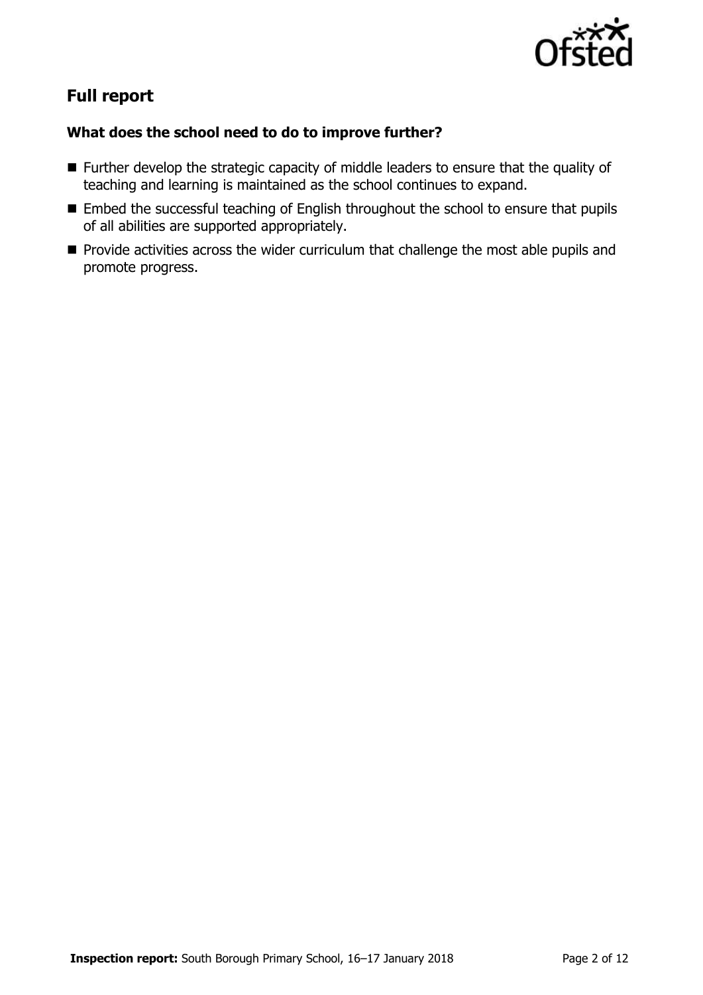

# **Full report**

### **What does the school need to do to improve further?**

- **Further develop the strategic capacity of middle leaders to ensure that the quality of** teaching and learning is maintained as the school continues to expand.
- **Embed the successful teaching of English throughout the school to ensure that pupils** of all abilities are supported appropriately.
- **Provide activities across the wider curriculum that challenge the most able pupils and** promote progress.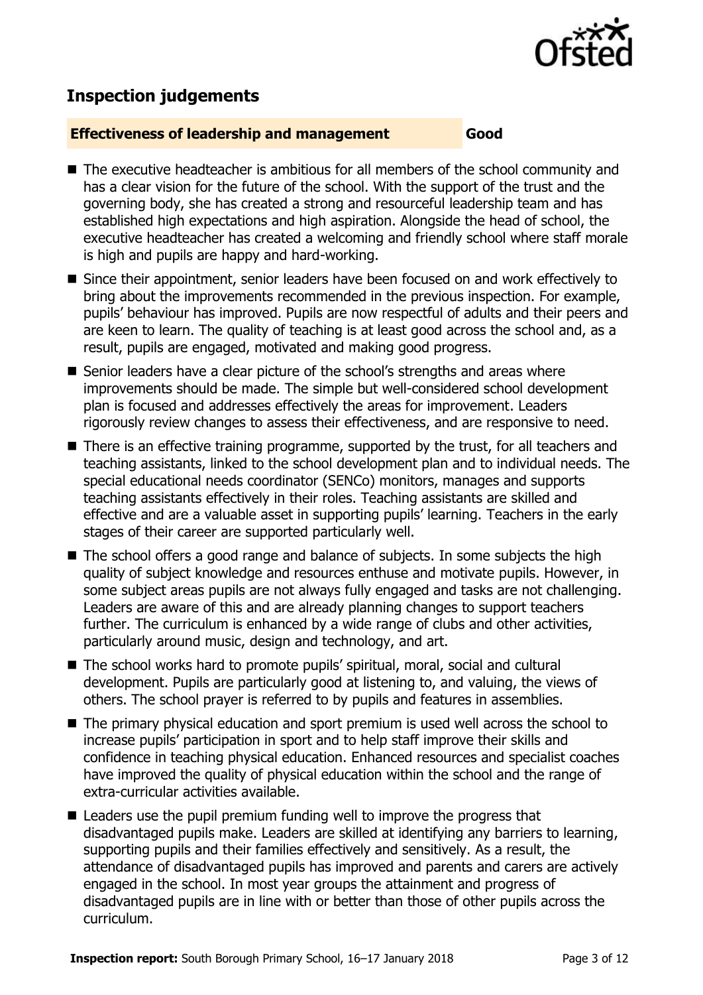

## **Inspection judgements**

#### **Effectiveness of leadership and management Good**

- The executive headteacher is ambitious for all members of the school community and has a clear vision for the future of the school. With the support of the trust and the governing body, she has created a strong and resourceful leadership team and has established high expectations and high aspiration. Alongside the head of school, the executive headteacher has created a welcoming and friendly school where staff morale is high and pupils are happy and hard-working.
- Since their appointment, senior leaders have been focused on and work effectively to bring about the improvements recommended in the previous inspection. For example, pupils' behaviour has improved. Pupils are now respectful of adults and their peers and are keen to learn. The quality of teaching is at least good across the school and, as a result, pupils are engaged, motivated and making good progress.
- Senior leaders have a clear picture of the school's strengths and areas where improvements should be made. The simple but well-considered school development plan is focused and addresses effectively the areas for improvement. Leaders rigorously review changes to assess their effectiveness, and are responsive to need.
- There is an effective training programme, supported by the trust, for all teachers and teaching assistants, linked to the school development plan and to individual needs. The special educational needs coordinator (SENCo) monitors, manages and supports teaching assistants effectively in their roles. Teaching assistants are skilled and effective and are a valuable asset in supporting pupils' learning. Teachers in the early stages of their career are supported particularly well.
- The school offers a good range and balance of subjects. In some subjects the high quality of subject knowledge and resources enthuse and motivate pupils. However, in some subject areas pupils are not always fully engaged and tasks are not challenging. Leaders are aware of this and are already planning changes to support teachers further. The curriculum is enhanced by a wide range of clubs and other activities, particularly around music, design and technology, and art.
- The school works hard to promote pupils' spiritual, moral, social and cultural development. Pupils are particularly good at listening to, and valuing, the views of others. The school prayer is referred to by pupils and features in assemblies.
- The primary physical education and sport premium is used well across the school to increase pupils' participation in sport and to help staff improve their skills and confidence in teaching physical education. Enhanced resources and specialist coaches have improved the quality of physical education within the school and the range of extra-curricular activities available.
- Leaders use the pupil premium funding well to improve the progress that disadvantaged pupils make. Leaders are skilled at identifying any barriers to learning, supporting pupils and their families effectively and sensitively. As a result, the attendance of disadvantaged pupils has improved and parents and carers are actively engaged in the school. In most year groups the attainment and progress of disadvantaged pupils are in line with or better than those of other pupils across the curriculum.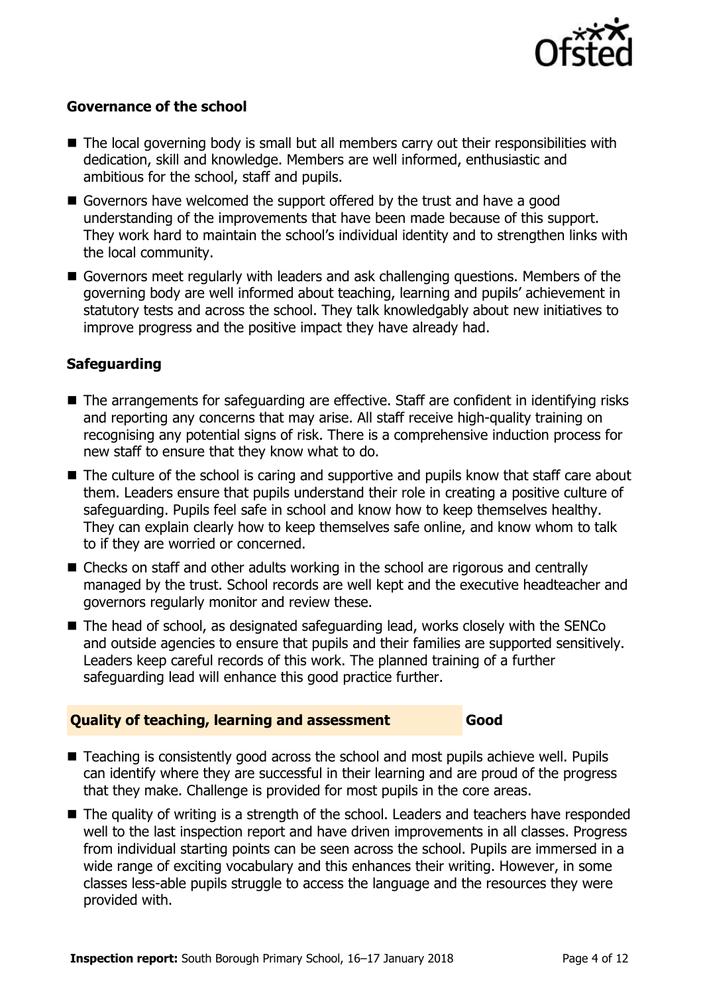

#### **Governance of the school**

- The local governing body is small but all members carry out their responsibilities with dedication, skill and knowledge. Members are well informed, enthusiastic and ambitious for the school, staff and pupils.
- Governors have welcomed the support offered by the trust and have a good understanding of the improvements that have been made because of this support. They work hard to maintain the school's individual identity and to strengthen links with the local community.
- Governors meet regularly with leaders and ask challenging questions. Members of the governing body are well informed about teaching, learning and pupils' achievement in statutory tests and across the school. They talk knowledgably about new initiatives to improve progress and the positive impact they have already had.

### **Safeguarding**

- The arrangements for safeguarding are effective. Staff are confident in identifying risks and reporting any concerns that may arise. All staff receive high-quality training on recognising any potential signs of risk. There is a comprehensive induction process for new staff to ensure that they know what to do.
- The culture of the school is caring and supportive and pupils know that staff care about them. Leaders ensure that pupils understand their role in creating a positive culture of safeguarding. Pupils feel safe in school and know how to keep themselves healthy. They can explain clearly how to keep themselves safe online, and know whom to talk to if they are worried or concerned.
- Checks on staff and other adults working in the school are rigorous and centrally managed by the trust. School records are well kept and the executive headteacher and governors regularly monitor and review these.
- The head of school, as designated safeguarding lead, works closely with the SENCo and outside agencies to ensure that pupils and their families are supported sensitively. Leaders keep careful records of this work. The planned training of a further safeguarding lead will enhance this good practice further.

#### **Quality of teaching, learning and assessment Good**

- Teaching is consistently good across the school and most pupils achieve well. Pupils can identify where they are successful in their learning and are proud of the progress that they make. Challenge is provided for most pupils in the core areas.
- The quality of writing is a strength of the school. Leaders and teachers have responded well to the last inspection report and have driven improvements in all classes. Progress from individual starting points can be seen across the school. Pupils are immersed in a wide range of exciting vocabulary and this enhances their writing. However, in some classes less-able pupils struggle to access the language and the resources they were provided with.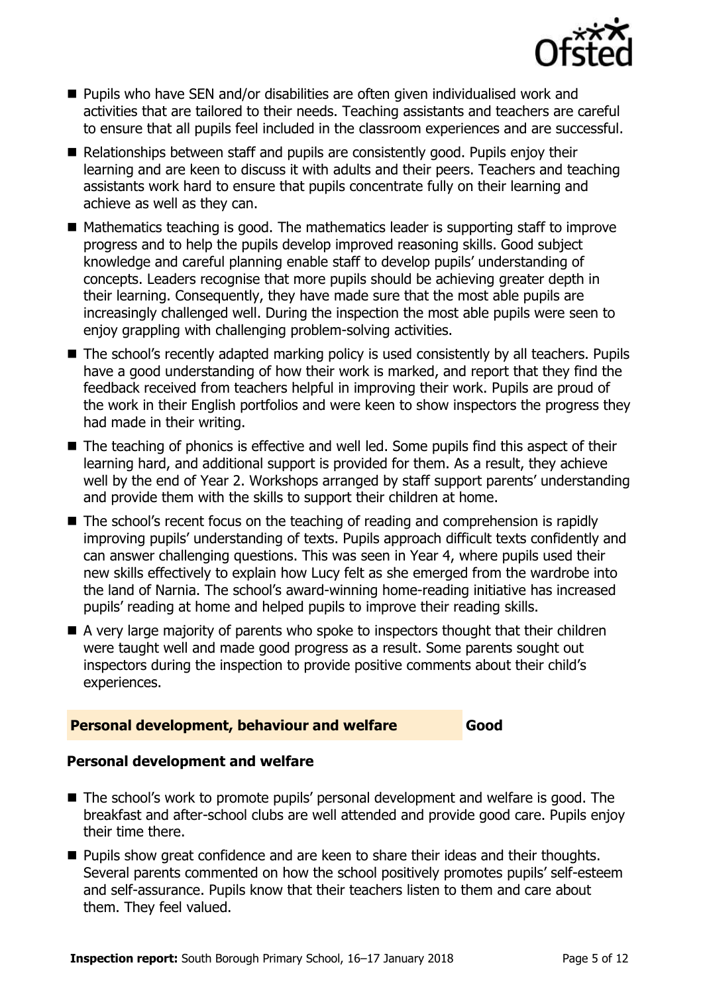

- Pupils who have SEN and/or disabilities are often given individualised work and activities that are tailored to their needs. Teaching assistants and teachers are careful to ensure that all pupils feel included in the classroom experiences and are successful.
- Relationships between staff and pupils are consistently good. Pupils enjoy their learning and are keen to discuss it with adults and their peers. Teachers and teaching assistants work hard to ensure that pupils concentrate fully on their learning and achieve as well as they can.
- $\blacksquare$  Mathematics teaching is good. The mathematics leader is supporting staff to improve progress and to help the pupils develop improved reasoning skills. Good subject knowledge and careful planning enable staff to develop pupils' understanding of concepts. Leaders recognise that more pupils should be achieving greater depth in their learning. Consequently, they have made sure that the most able pupils are increasingly challenged well. During the inspection the most able pupils were seen to enjoy grappling with challenging problem-solving activities.
- The school's recently adapted marking policy is used consistently by all teachers. Pupils have a good understanding of how their work is marked, and report that they find the feedback received from teachers helpful in improving their work. Pupils are proud of the work in their English portfolios and were keen to show inspectors the progress they had made in their writing.
- The teaching of phonics is effective and well led. Some pupils find this aspect of their learning hard, and additional support is provided for them. As a result, they achieve well by the end of Year 2. Workshops arranged by staff support parents' understanding and provide them with the skills to support their children at home.
- The school's recent focus on the teaching of reading and comprehension is rapidly improving pupils' understanding of texts. Pupils approach difficult texts confidently and can answer challenging questions. This was seen in Year 4, where pupils used their new skills effectively to explain how Lucy felt as she emerged from the wardrobe into the land of Narnia. The school's award-winning home-reading initiative has increased pupils' reading at home and helped pupils to improve their reading skills.
- A very large majority of parents who spoke to inspectors thought that their children were taught well and made good progress as a result. Some parents sought out inspectors during the inspection to provide positive comments about their child's experiences.

#### **Personal development, behaviour and welfare Good**

#### **Personal development and welfare**

- The school's work to promote pupils' personal development and welfare is good. The breakfast and after-school clubs are well attended and provide good care. Pupils enjoy their time there.
- **Pupils show great confidence and are keen to share their ideas and their thoughts.** Several parents commented on how the school positively promotes pupils' self-esteem and self-assurance. Pupils know that their teachers listen to them and care about them. They feel valued.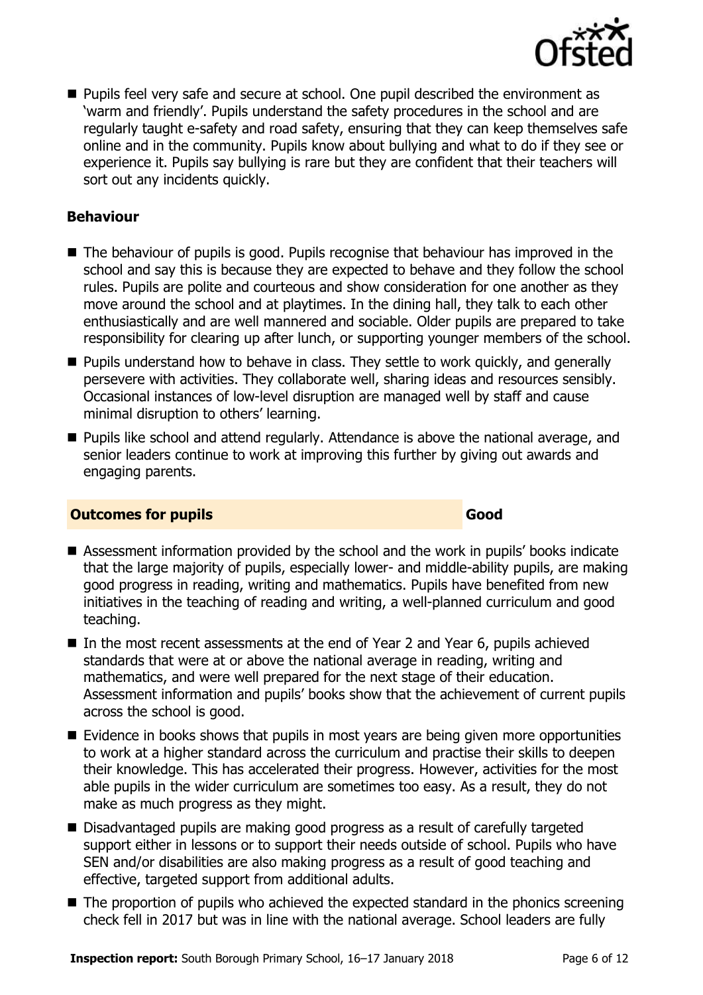

**Pupils feel very safe and secure at school. One pupil described the environment as** 'warm and friendly'. Pupils understand the safety procedures in the school and are regularly taught e-safety and road safety, ensuring that they can keep themselves safe online and in the community. Pupils know about bullying and what to do if they see or experience it. Pupils say bullying is rare but they are confident that their teachers will sort out any incidents quickly.

#### **Behaviour**

- The behaviour of pupils is good. Pupils recognise that behaviour has improved in the school and say this is because they are expected to behave and they follow the school rules. Pupils are polite and courteous and show consideration for one another as they move around the school and at playtimes. In the dining hall, they talk to each other enthusiastically and are well mannered and sociable. Older pupils are prepared to take responsibility for clearing up after lunch, or supporting younger members of the school.
- **Pupils understand how to behave in class. They settle to work quickly, and generally** persevere with activities. They collaborate well, sharing ideas and resources sensibly. Occasional instances of low-level disruption are managed well by staff and cause minimal disruption to others' learning.
- Pupils like school and attend regularly. Attendance is above the national average, and senior leaders continue to work at improving this further by giving out awards and engaging parents.

#### **Outcomes for pupils Good**

- Assessment information provided by the school and the work in pupils' books indicate that the large majority of pupils, especially lower- and middle-ability pupils, are making good progress in reading, writing and mathematics. Pupils have benefited from new initiatives in the teaching of reading and writing, a well-planned curriculum and good teaching.
- In the most recent assessments at the end of Year 2 and Year 6, pupils achieved standards that were at or above the national average in reading, writing and mathematics, and were well prepared for the next stage of their education. Assessment information and pupils' books show that the achievement of current pupils across the school is good.
- $\blacksquare$  Evidence in books shows that pupils in most years are being given more opportunities to work at a higher standard across the curriculum and practise their skills to deepen their knowledge. This has accelerated their progress. However, activities for the most able pupils in the wider curriculum are sometimes too easy. As a result, they do not make as much progress as they might.
- Disadvantaged pupils are making good progress as a result of carefully targeted support either in lessons or to support their needs outside of school. Pupils who have SEN and/or disabilities are also making progress as a result of good teaching and effective, targeted support from additional adults.
- The proportion of pupils who achieved the expected standard in the phonics screening check fell in 2017 but was in line with the national average. School leaders are fully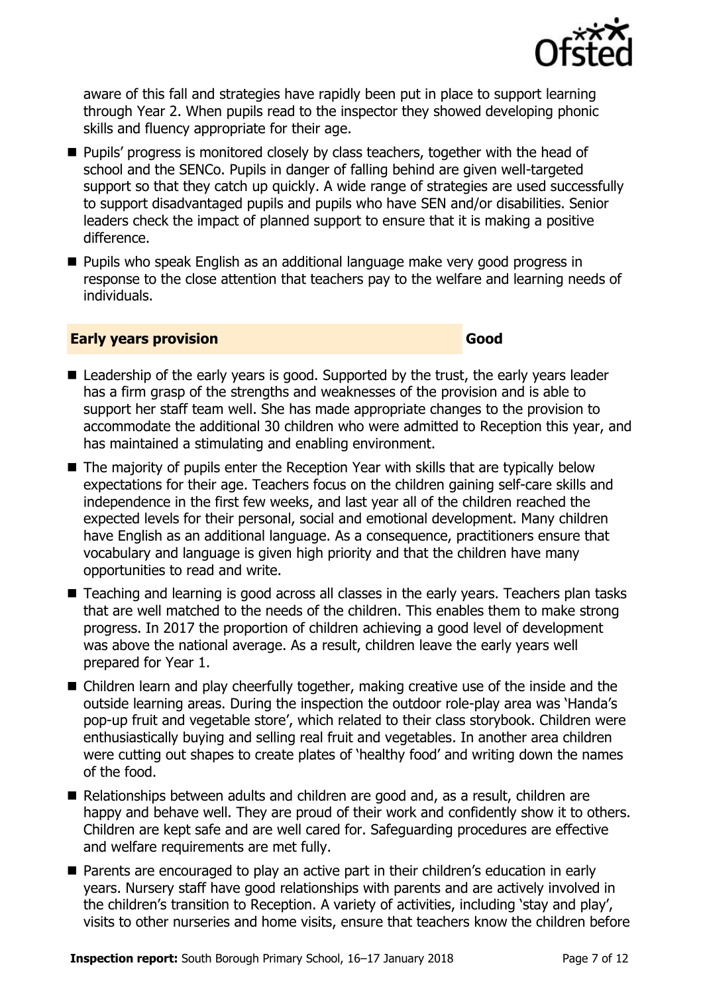

aware of this fall and strategies have rapidly been put in place to support learning through Year 2. When pupils read to the inspector they showed developing phonic skills and fluency appropriate for their age.

- **Pupils' progress is monitored closely by class teachers, together with the head of** school and the SENCo. Pupils in danger of falling behind are given well-targeted support so that they catch up quickly. A wide range of strategies are used successfully to support disadvantaged pupils and pupils who have SEN and/or disabilities. Senior leaders check the impact of planned support to ensure that it is making a positive difference.
- Pupils who speak English as an additional language make very good progress in response to the close attention that teachers pay to the welfare and learning needs of individuals.

#### **Early years provision Good Good**

- Leadership of the early years is good. Supported by the trust, the early years leader has a firm grasp of the strengths and weaknesses of the provision and is able to support her staff team well. She has made appropriate changes to the provision to accommodate the additional 30 children who were admitted to Reception this year, and has maintained a stimulating and enabling environment.
- The majority of pupils enter the Reception Year with skills that are typically below expectations for their age. Teachers focus on the children gaining self-care skills and independence in the first few weeks, and last year all of the children reached the expected levels for their personal, social and emotional development. Many children have English as an additional language. As a consequence, practitioners ensure that vocabulary and language is given high priority and that the children have many opportunities to read and write.
- Teaching and learning is good across all classes in the early years. Teachers plan tasks that are well matched to the needs of the children. This enables them to make strong progress. In 2017 the proportion of children achieving a good level of development was above the national average. As a result, children leave the early years well prepared for Year 1.
- Children learn and play cheerfully together, making creative use of the inside and the outside learning areas. During the inspection the outdoor role-play area was 'Handa's pop-up fruit and vegetable store', which related to their class storybook. Children were enthusiastically buying and selling real fruit and vegetables. In another area children were cutting out shapes to create plates of 'healthy food' and writing down the names of the food.
- Relationships between adults and children are good and, as a result, children are happy and behave well. They are proud of their work and confidently show it to others. Children are kept safe and are well cared for. Safeguarding procedures are effective and welfare requirements are met fully.
- Parents are encouraged to play an active part in their children's education in early years. Nursery staff have good relationships with parents and are actively involved in the children's transition to Reception. A variety of activities, including 'stay and play', visits to other nurseries and home visits, ensure that teachers know the children before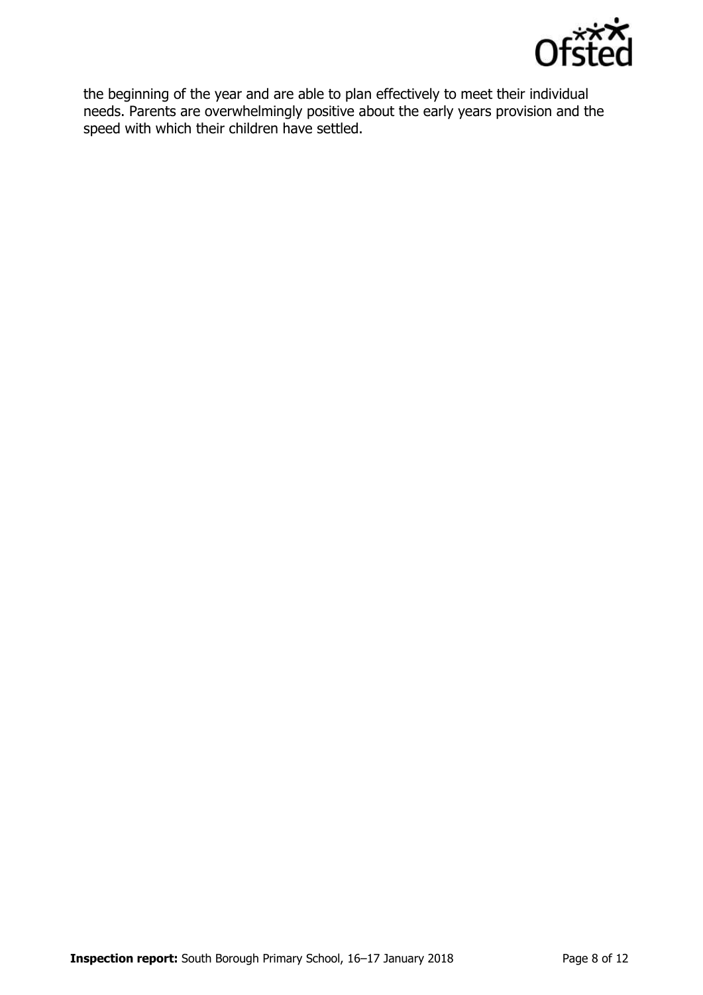

the beginning of the year and are able to plan effectively to meet their individual needs. Parents are overwhelmingly positive about the early years provision and the speed with which their children have settled.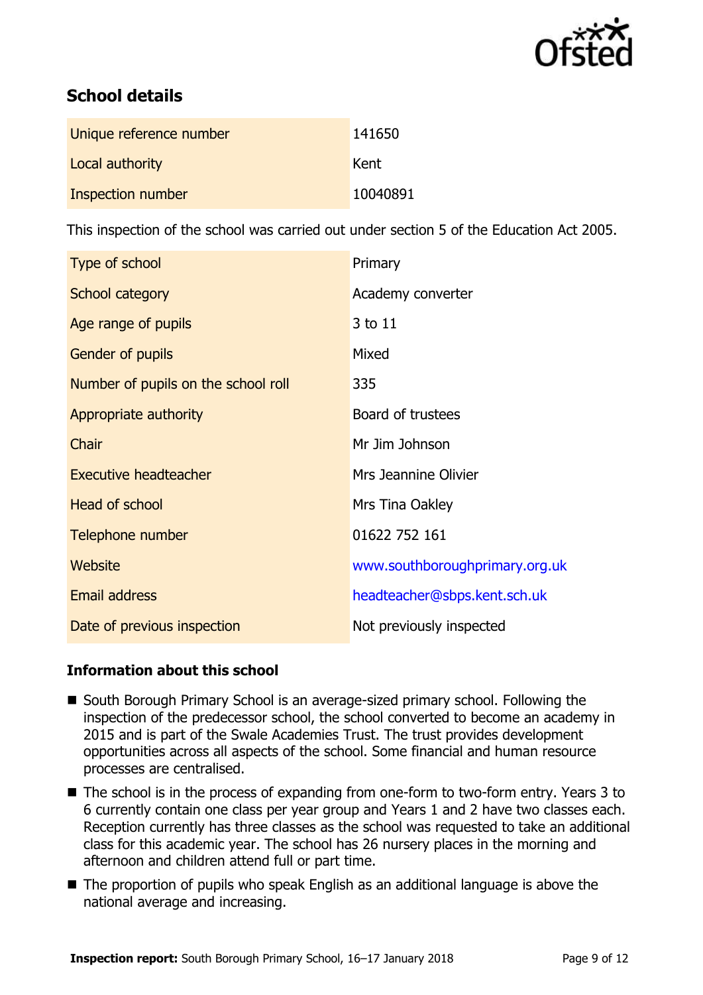

# **School details**

| Unique reference number  | 141650   |
|--------------------------|----------|
| Local authority          | Kent     |
| <b>Inspection number</b> | 10040891 |

This inspection of the school was carried out under section 5 of the Education Act 2005.

| Type of school                      | Primary                        |
|-------------------------------------|--------------------------------|
| School category                     | Academy converter              |
| Age range of pupils                 | 3 to 11                        |
| Gender of pupils                    | Mixed                          |
| Number of pupils on the school roll | 335                            |
| Appropriate authority               | Board of trustees              |
| Chair                               | Mr Jim Johnson                 |
| <b>Executive headteacher</b>        | Mrs Jeannine Olivier           |
| Head of school                      | Mrs Tina Oakley                |
| Telephone number                    | 01622 752 161                  |
| Website                             | www.southboroughprimary.org.uk |
| <b>Email address</b>                | headteacher@sbps.kent.sch.uk   |
| Date of previous inspection         | Not previously inspected       |

#### **Information about this school**

- South Borough Primary School is an average-sized primary school. Following the inspection of the predecessor school, the school converted to become an academy in 2015 and is part of the Swale Academies Trust. The trust provides development opportunities across all aspects of the school. Some financial and human resource processes are centralised.
- The school is in the process of expanding from one-form to two-form entry. Years 3 to 6 currently contain one class per year group and Years 1 and 2 have two classes each. Reception currently has three classes as the school was requested to take an additional class for this academic year. The school has 26 nursery places in the morning and afternoon and children attend full or part time.
- The proportion of pupils who speak English as an additional language is above the national average and increasing.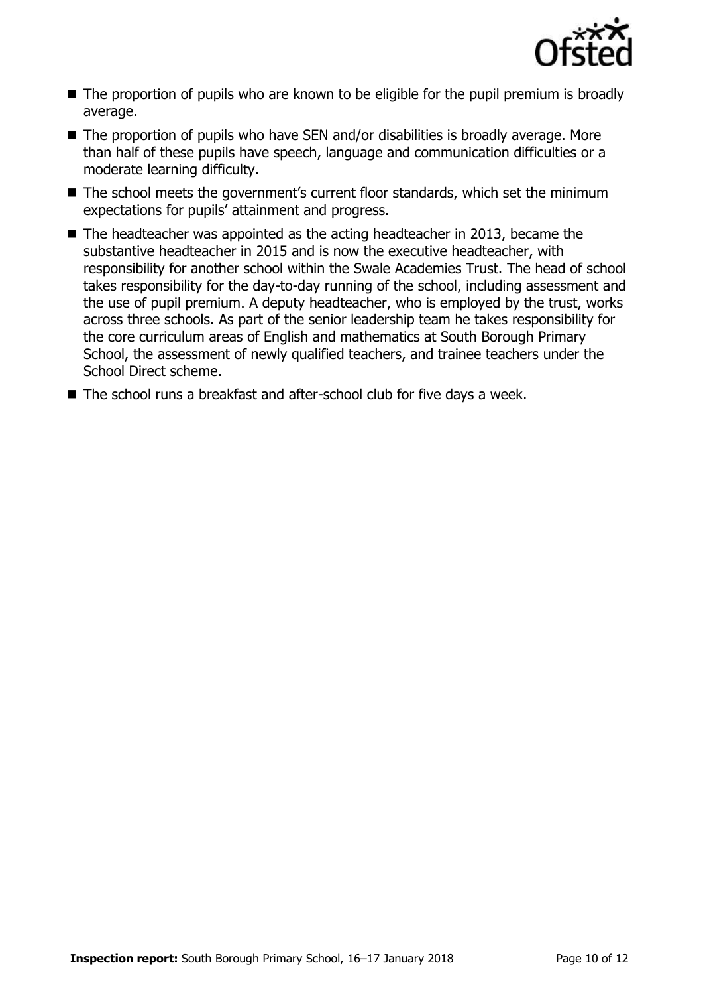

- The proportion of pupils who are known to be eligible for the pupil premium is broadly average.
- $\blacksquare$  The proportion of pupils who have SEN and/or disabilities is broadly average. More than half of these pupils have speech, language and communication difficulties or a moderate learning difficulty.
- The school meets the government's current floor standards, which set the minimum expectations for pupils' attainment and progress.
- The headteacher was appointed as the acting headteacher in 2013, became the substantive headteacher in 2015 and is now the executive headteacher, with responsibility for another school within the Swale Academies Trust. The head of school takes responsibility for the day-to-day running of the school, including assessment and the use of pupil premium. A deputy headteacher, who is employed by the trust, works across three schools. As part of the senior leadership team he takes responsibility for the core curriculum areas of English and mathematics at South Borough Primary School, the assessment of newly qualified teachers, and trainee teachers under the School Direct scheme.
- The school runs a breakfast and after-school club for five days a week.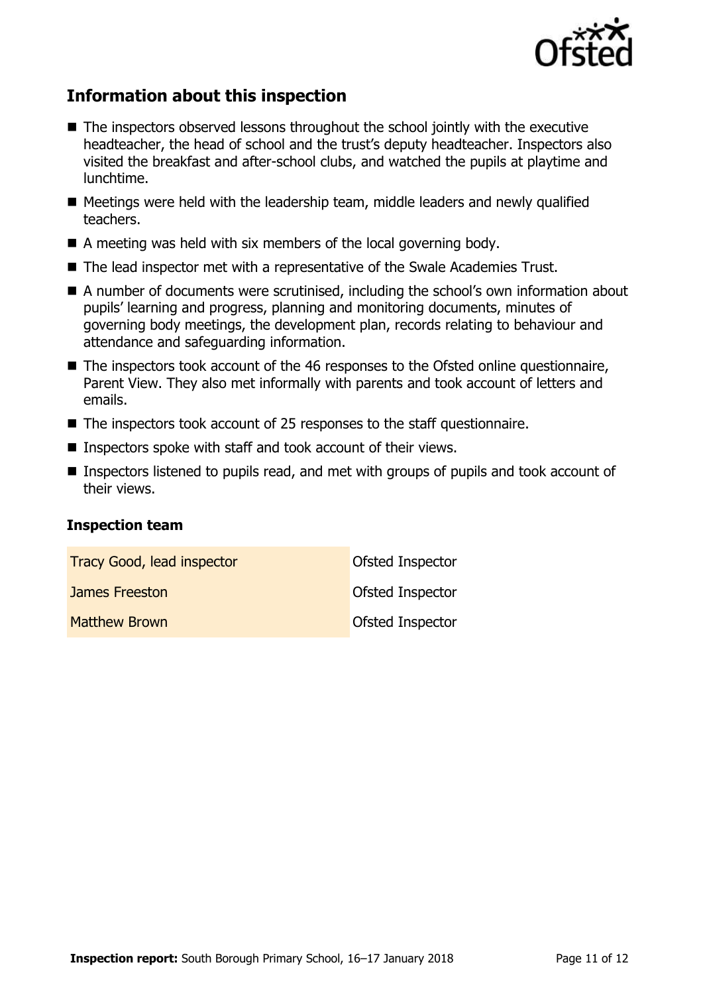

# **Information about this inspection**

- The inspectors observed lessons throughout the school jointly with the executive headteacher, the head of school and the trust's deputy headteacher. Inspectors also visited the breakfast and after-school clubs, and watched the pupils at playtime and lunchtime.
- $\blacksquare$  Meetings were held with the leadership team, middle leaders and newly qualified teachers.
- $\blacksquare$  A meeting was held with six members of the local governing body.
- The lead inspector met with a representative of the Swale Academies Trust.
- A number of documents were scrutinised, including the school's own information about pupils' learning and progress, planning and monitoring documents, minutes of governing body meetings, the development plan, records relating to behaviour and attendance and safeguarding information.
- The inspectors took account of the 46 responses to the Ofsted online questionnaire, Parent View. They also met informally with parents and took account of letters and emails.
- The inspectors took account of 25 responses to the staff questionnaire.
- Inspectors spoke with staff and took account of their views.
- Inspectors listened to pupils read, and met with groups of pupils and took account of their views.

#### **Inspection team**

| <b>Tracy Good, lead inspector</b> | <b>Ofsted Inspector</b> |
|-----------------------------------|-------------------------|
| James Freeston                    | <b>Ofsted Inspector</b> |
| <b>Matthew Brown</b>              | <b>Ofsted Inspector</b> |